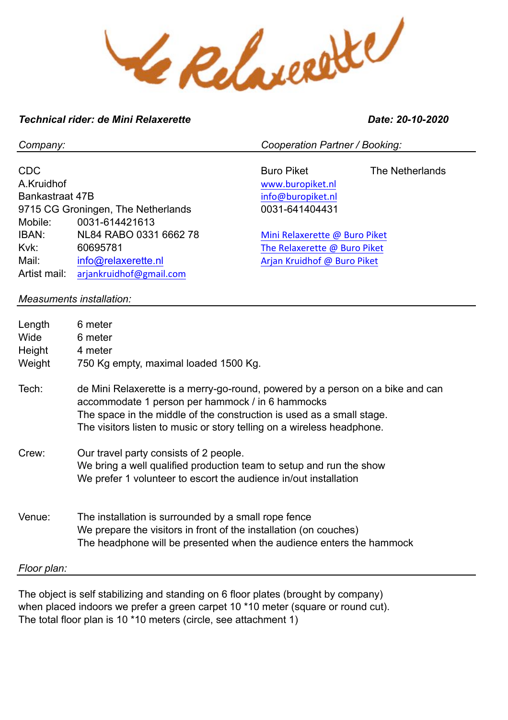Le Relaccité

# *Technical rider: de Mini Relaxerette Date: 20-10-2020*

CDC Buro Piket The Netherlands A.Kruidhof www.buropiket.nl Bankastraat 47B info@buropiket.nl 9715 CG Groningen, The Netherlands 0031-641404431 Mobile: 0031-614421613 IBAN: NL84 RABO 0331 6662 78 Mini Relaxerette @ Buro Piket Kvk: 60695781 6000 The Relaxerette @ Buro Piket Mail: info@relaxerette.nl and Arjan Kruidhof @ Buro Piket Artist mail: arjankruidhof@gmail.com *Measuments installation:* Length 6 meter Wide 6 meter Height 4 meter Weight 750 Kg empty, maximal loaded 1500 Kg. Tech: de Mini Relaxerette is a merry-go-round, powered by a person on a bike and can accommodate 1 person per hammock / in 6 hammocks The space in the middle of the construction is used as a small stage. The visitors listen to music or story telling on a wireless headphone.

- Crew: Our travel party consists of 2 people. We bring a well qualified production team to setup and run the show We prefer 1 volunteer to escort the audience in/out installation
- Venue: The installation is surrounded by a small rope fence We prepare the visitors in front of the installation (on couches) The headphone will be presented when the audience enters the hammock

## *Floor plan:*

The object is self stabilizing and standing on 6 floor plates (brought by company) when placed indoors we prefer a green carpet 10 \*10 meter (square or round cut). The total floor plan is 10 \*10 meters (circle, see attachment 1)

*Company: Cooperation Partner / Booking:*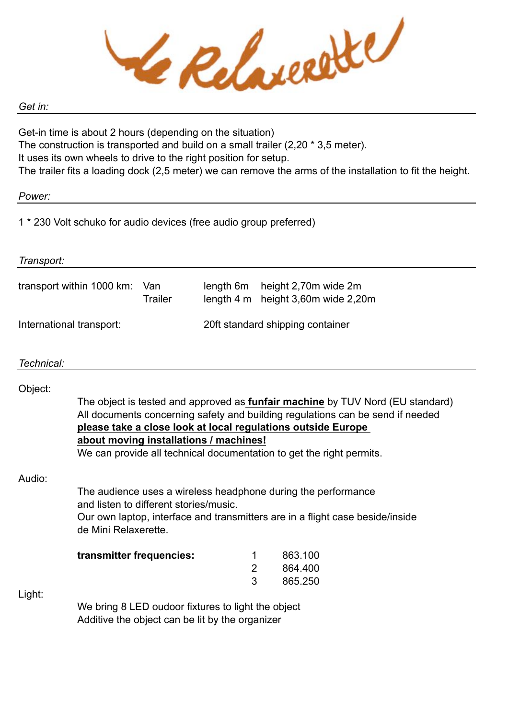Le Relaccette

#### *Get in:*

Get-in time is about 2 hours (depending on the situation) The construction is transported and build on a small trailer (2,20 \* 3,5 meter). It uses its own wheels to drive to the right position for setup. The trailer fits a loading dock (2,5 meter) we can remove the arms of the installation to fit the height.

## *Power:*

1 \* 230 Volt schuko for audio devices (free audio group preferred)

| Transport:                                         |                                                                                                                                                                                                                                                                                                                                                                                                                                                                                                                                                                               |                         |                                  |                                                 |                               |  |
|----------------------------------------------------|-------------------------------------------------------------------------------------------------------------------------------------------------------------------------------------------------------------------------------------------------------------------------------------------------------------------------------------------------------------------------------------------------------------------------------------------------------------------------------------------------------------------------------------------------------------------------------|-------------------------|----------------------------------|-------------------------------------------------|-------------------------------|--|
| transport within 1000 km:<br>Van<br><b>Trailer</b> |                                                                                                                                                                                                                                                                                                                                                                                                                                                                                                                                                                               | length 6m<br>length 4 m |                                  | height 2,70m wide 2m<br>height 3,60m wide 2,20m |                               |  |
| International transport:                           |                                                                                                                                                                                                                                                                                                                                                                                                                                                                                                                                                                               |                         | 20ft standard shipping container |                                                 |                               |  |
| Technical:                                         |                                                                                                                                                                                                                                                                                                                                                                                                                                                                                                                                                                               |                         |                                  |                                                 |                               |  |
| Object:<br>Audio:                                  | The object is tested and approved as <b>funfair machine</b> by TUV Nord (EU standard)<br>All documents concerning safety and building regulations can be send if needed<br>please take a close look at local regulations outside Europe<br>about moving installations / machines!<br>We can provide all technical documentation to get the right permits.<br>The audience uses a wireless headphone during the performance<br>and listen to different stories/music.<br>Our own laptop, interface and transmitters are in a flight case beside/inside<br>de Mini Relaxerette. |                         |                                  |                                                 |                               |  |
|                                                    | transmitter frequencies:                                                                                                                                                                                                                                                                                                                                                                                                                                                                                                                                                      |                         | 1<br>$\overline{2}$<br>3         |                                                 | 863.100<br>864.400<br>865.250 |  |
| Light:                                             | We bring 8 LED oudoor fixtures to light the object<br>Additive the object can be lit by the organizer                                                                                                                                                                                                                                                                                                                                                                                                                                                                         |                         |                                  |                                                 |                               |  |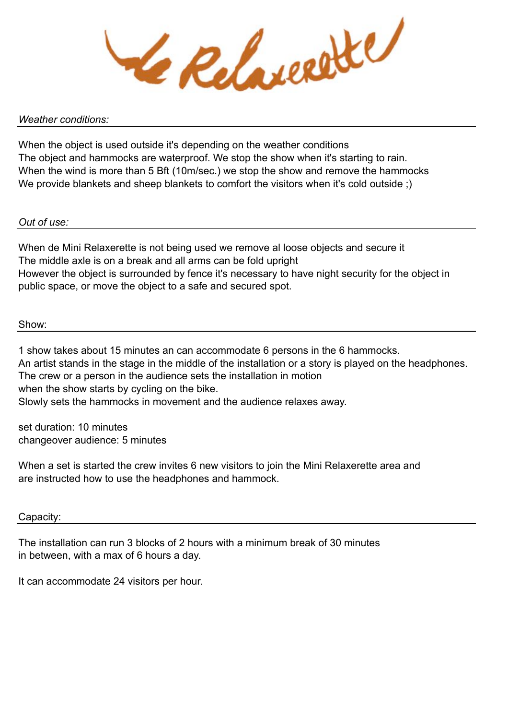Le Relaceste

#### *Weather conditions:*

When the object is used outside it's depending on the weather conditions The object and hammocks are waterproof. We stop the show when it's starting to rain. When the wind is more than 5 Bft (10m/sec.) we stop the show and remove the hammocks We provide blankets and sheep blankets to comfort the visitors when it's cold outside :)

## *Out of use:*

When de Mini Relaxerette is not being used we remove al loose objects and secure it The middle axle is on a break and all arms can be fold upright However the object is surrounded by fence it's necessary to have night security for the object in public space, or move the object to a safe and secured spot.

## Show:

1 show takes about 15 minutes an can accommodate 6 persons in the 6 hammocks. An artist stands in the stage in the middle of the installation or a story is played on the headphones. The crew or a person in the audience sets the installation in motion when the show starts by cycling on the bike. Slowly sets the hammocks in movement and the audience relaxes away.

set duration: 10 minutes changeover audience: 5 minutes

When a set is started the crew invites 6 new visitors to join the Mini Relaxerette area and are instructed how to use the headphones and hammock.

#### Capacity:

The installation can run 3 blocks of 2 hours with a minimum break of 30 minutes in between, with a max of 6 hours a day.

It can accommodate 24 visitors per hour.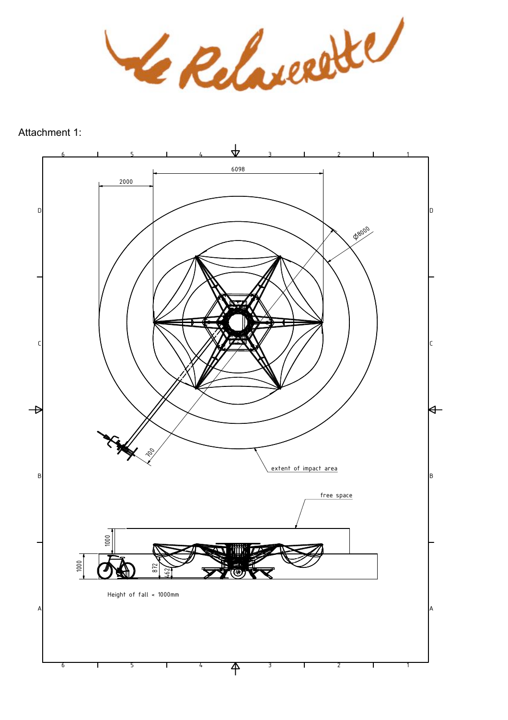Le Relaccette

Attachment 1:

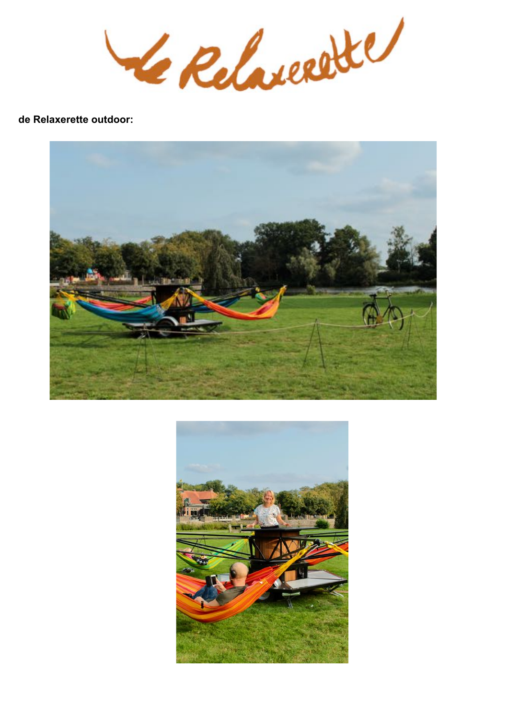Le Relaccette

# de Relaxerette outdoor: